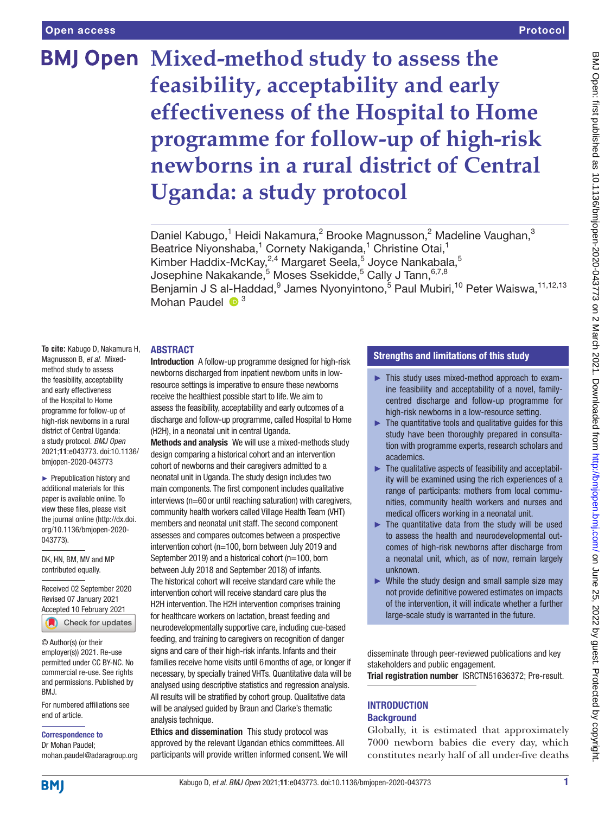# **BMJ Open Mixed-method study to assess the feasibility, acceptability and early effectiveness of the Hospital to Home programme for follow-up of high-risk newborns in a rural district of Central Uganda: a study protocol**

Daniel Kabugo,<sup>1</sup> Heidi Nakamura,<sup>2</sup> Brooke Magnusson,<sup>2</sup> Madeline Vaughan,<sup>3</sup> Beatrice Niyonshaba,<sup>1</sup> Cornety Nakiganda,<sup>1</sup> Christine Otai,<sup>1</sup> Kimber Haddix-McKay,<sup>2,4</sup> Margaret Seela,<sup>5</sup> Joyce Nankabala,<sup>5</sup> Josephine Nakakande, $^5$  Moses Ssekidde, $^5$  Cally J Tann, $^{6,7,8}$ Benjamin J S al-Haddad, <sup>9</sup> James Nyonyintono, <sup>5</sup> Paul Mubiri, <sup>10</sup> Peter Waiswa, <sup>11,12,13</sup> Mohan Paudel  $\bullet$ <sup>3</sup>

#### ABSTRACT

**To cite:** Kabugo D, Nakamura H, Magnusson B, *et al*. Mixedmethod study to assess the feasibility, acceptability and early effectiveness of the Hospital to Home programme for follow-up of high-risk newborns in a rural district of Central Uganda: a study protocol. *BMJ Open* 2021;11:e043773. doi:10.1136/ bmjopen-2020-043773

► Prepublication history and additional materials for this paper is available online. To view these files, please visit the journal online (http://dx.doi. org/10.1136/bmjopen-2020- 043773).

DK, HN, BM, MV and MP contributed equally.

Received 02 September 2020 Revised 07 January 2021 [Accepted 10 February 2021](http://crossmark.crossref.org/dialog/?doi=10.1136/bmjopen-2020-043773&domain=pdf&date_stamp=2021-03-02)

Check for updates

© Author(s) (or their employer(s)) 2021. Re-use permitted under CC BY-NC. No commercial re-use. See rights and permissions. Published by BMJ.

For numbered affiliations see end of article.

Correspondence to

Dr Mohan Paudel; mohan.paudel@adaragroup.org Introduction A follow-up programme designed for high-risk newborns discharged from inpatient newborn units in lowresource settings is imperative to ensure these newborns receive the healthiest possible start to life. We aim to assess the feasibility, acceptability and early outcomes of a discharge and follow-up programme, called Hospital to Home (H2H), in a neonatal unit in central Uganda.

Methods and analysis We will use a mixed-methods study design comparing a historical cohort and an intervention cohort of newborns and their caregivers admitted to a neonatal unit in Uganda. The study design includes two main components. The first component includes qualitative interviews (n=60or until reaching saturation) with caregivers, community health workers called Village Health Team (VHT) members and neonatal unit staff. The second component assesses and compares outcomes between a prospective intervention cohort (n=100, born between July 2019 and September 2019) and a historical cohort (n=100, born between July 2018 and September 2018) of infants. The historical cohort will receive standard care while the intervention cohort will receive standard care plus the H2H intervention. The H2H intervention comprises training for healthcare workers on lactation, breast feeding and neurodevelopmentally supportive care, including cue-based feeding, and training to caregivers on recognition of danger signs and care of their high-risk infants. Infants and their families receive home visits until 6months of age, or longer if necessary, by specially trained VHTs. Quantitative data will be analysed using descriptive statistics and regression analysis. All results will be stratified by cohort group. Qualitative data will be analysed guided by Braun and Clarke's thematic analysis technique.

Ethics and dissemination This study protocol was approved by the relevant Ugandan ethics committees. All participants will provide written informed consent. We will

## Strengths and limitations of this study

- ► This study uses mixed-method approach to examine feasibility and acceptability of a novel, familycentred discharge and follow-up programme for high-risk newborns in a low-resource setting.
- $\blacktriangleright$  The quantitative tools and qualitative quides for this study have been thoroughly prepared in consultation with programme experts, research scholars and academics.
- ► The qualitative aspects of feasibility and acceptability will be examined using the rich experiences of a range of participants: mothers from local communities, community health workers and nurses and medical officers working in a neonatal unit.
- ► The quantitative data from the study will be used to assess the health and neurodevelopmental outcomes of high-risk newborns after discharge from a neonatal unit, which, as of now, remain largely unknown.
- $\triangleright$  While the study design and small sample size may not provide definitive powered estimates on impacts of the intervention, it will indicate whether a further large-scale study is warranted in the future.

disseminate through peer-reviewed publications and key stakeholders and public engagement.

Trial registration number [ISRCTN51636372; Pre-result.](ISRCTN51636372)

## **INTRODUCTION Background**

Globally, it is estimated that approximately 7000 newborn babies die every day, which constitutes nearly half of all under-five deaths

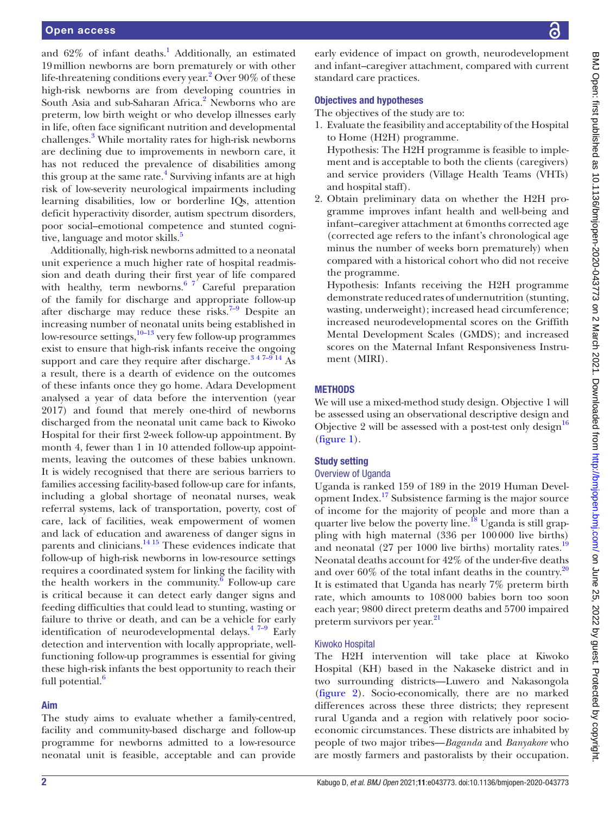and  $62\%$  of infant deaths.<sup>1</sup> Additionally, an estimated 19million newborns are born prematurely or with other life-threatening conditions every year.<sup>2</sup> Over 90% of these high-risk newborns are from developing countries in South Asia and sub-Saharan Africa.<sup>[2](#page-7-1)</sup> Newborns who are preterm, low birth weight or who develop illnesses early in life, often face significant nutrition and developmental challenges.<sup>[3](#page-7-2)</sup> While mortality rates for high-risk newborns are declining due to improvements in newborn care, it has not reduced the prevalence of disabilities among this group at the same rate.<sup>[4](#page-7-3)</sup> Surviving infants are at high risk of low-severity neurological impairments including learning disabilities, low or borderline IQs, attention deficit hyperactivity disorder, autism spectrum disorders, poor social–emotional competence and stunted cognitive, language and motor skills.<sup>5</sup>

Additionally, high-risk newborns admitted to a neonatal unit experience a much higher rate of hospital readmission and death during their first year of life compared with healthy, term newborns.<sup>6</sup>  $^7$  Careful preparation of the family for discharge and appropriate follow-up after discharge may reduce these risks.<sup>7-9</sup> Despite an increasing number of neonatal units being established in low-resource settings, $\frac{10-13}{10}$  very few follow-up programmes exist to ensure that high-risk infants receive the ongoing support and care they require after discharge.<sup>347-9 14</sup> As a result, there is a dearth of evidence on the outcomes of these infants once they go home. Adara Development analysed a year of data before the intervention (year 2017) and found that merely one-third of newborns discharged from the neonatal unit came back to Kiwoko Hospital for their first 2-week follow-up appointment. By month 4, fewer than 1 in 10 attended follow-up appointments, leaving the outcomes of these babies unknown. It is widely recognised that there are serious barriers to families accessing facility-based follow-up care for infants, including a global shortage of neonatal nurses, weak referral systems, lack of transportation, poverty, cost of care, lack of facilities, weak empowerment of women and lack of education and awareness of danger signs in parents and clinicians.<sup>14 15</sup> These evidences indicate that follow-up of high-risk newborns in low-resource settings requires a coordinated system for linking the facility with the health workers in the community.<sup> $\overline{6}$  $\overline{6}$  $\overline{6}$ </sup> Follow-up care is critical because it can detect early danger signs and feeding difficulties that could lead to stunting, wasting or failure to thrive or death, and can be a vehicle for early identification of neurodevelopmental delays.<sup>47-9</sup> Early detection and intervention with locally appropriate, wellfunctioning follow-up programmes is essential for giving these high-risk infants the best opportunity to reach their full potential.<sup>6</sup>

# Aim

The study aims to evaluate whether a family-centred, facility and community-based discharge and follow-up programme for newborns admitted to a low-resource neonatal unit is feasible, acceptable and can provide

early evidence of impact on growth, neurodevelopment and infant–caregiver attachment, compared with current standard care practices.

#### Objectives and hypotheses

The objectives of the study are to:

1. Evaluate the feasibility and acceptability of the Hospital to Home (H2H) programme. Hypothesis: The H2H programme is feasible to imple-

ment and is acceptable to both the clients (caregivers) and service providers (Village Health Teams (VHTs) and hospital staff).

2. Obtain preliminary data on whether the H2H programme improves infant health and well-being and infant–caregiver attachment at 6months corrected age (corrected age refers to the infant's chronological age minus the number of weeks born prematurely) when compared with a historical cohort who did not receive the programme.

Hypothesis: Infants receiving the H2H programme demonstrate reduced rates of undernutrition (stunting, wasting, underweight); increased head circumference; increased neurodevelopmental scores on the Griffith Mental Development Scales (GMDS); and increased scores on the Maternal Infant Responsiveness Instrument (MIRI).

#### **METHODS**

We will use a mixed-method study design. Objective 1 will be assessed using an observational descriptive design and Objective 2 will be assessed with a post-test only design<sup>[16](#page-7-9)</sup> [\(figure](#page-2-0) 1).

# Study setting

#### Overview of Uganda

Uganda is ranked 159 of 189 in the 2019 Human Development Index.<sup>17</sup> Subsistence farming is the major source of income for the majority of people and more than a quarter live below the poverty line.<sup>18</sup> Uganda is still grappling with high maternal (336 per 100000 live births) and neonatal (27 per 1000 live births) mortality rates.<sup>[19](#page-7-12)</sup> Neonatal deaths account for 42% of the under-five deaths and over  $60\%$  of the total infant deaths in the country.<sup>[20](#page-7-13)</sup> It is estimated that Uganda has nearly 7% preterm birth rate, which amounts to 108000 babies born too soon each year; 9800 direct preterm deaths and 5700 impaired preterm survivors per year.<sup>[21](#page-7-14)</sup>

# Kiwoko Hospital

The H2H intervention will take place at Kiwoko Hospital (KH) based in the Nakaseke district and in two surrounding districts—Luwero and Nakasongola [\(figure](#page-3-0) 2). Socio-economically, there are no marked differences across these three districts; they represent rural Uganda and a region with relatively poor socioeconomic circumstances. These districts are inhabited by people of two major tribes—*Baganda* and *Banyakore* who are mostly farmers and pastoralists by their occupation.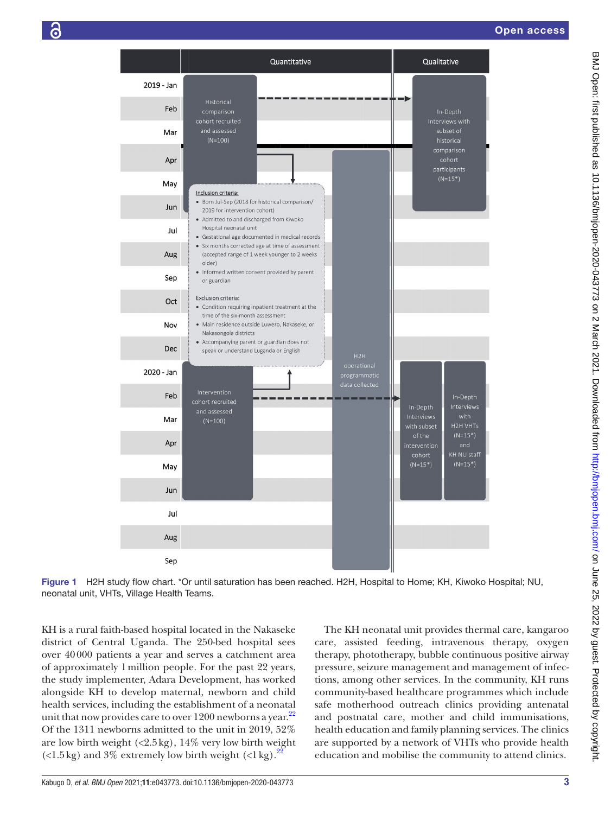

Figure 1 H2H study flow chart. \*Or until saturation has been reached. H2H, Hospital to Home; KH, Kiwoko Hospital; NU, neonatal unit, VHTs, Village Health Teams.

KH is a rural faith-based hospital located in the Nakaseke district of Central Uganda. The 250-bed hospital sees over 40000 patients a year and serves a catchment area of approximately 1million people. For the past 22 years, the study implementer, Adara Development, has worked alongside KH to develop maternal, newborn and child health services, including the establishment of a neonatal unit that now provides care to over  $1200$  newborns a year.<sup>[22](#page-7-15)</sup> Of the 1311 newborns admitted to the unit in 2019, 52% are low birth weight  $(\langle 2.5 \text{ kg}), 14\%$  very low birth weight  $\left($  <1.5 kg) and 3% extremely low birth weight  $\left($  <1 kg $\right)$ .

<span id="page-2-0"></span>The KH neonatal unit provides thermal care, kangaroo care, assisted feeding, intravenous therapy, oxygen therapy, phototherapy, bubble continuous positive airway pressure, seizure management and management of infections, among other services. In the community, KH runs community-based healthcare programmes which include safe motherhood outreach clinics providing antenatal and postnatal care, mother and child immunisations, health education and family planning services. The clinics are supported by a network of VHTs who provide health education and mobilise the community to attend clinics.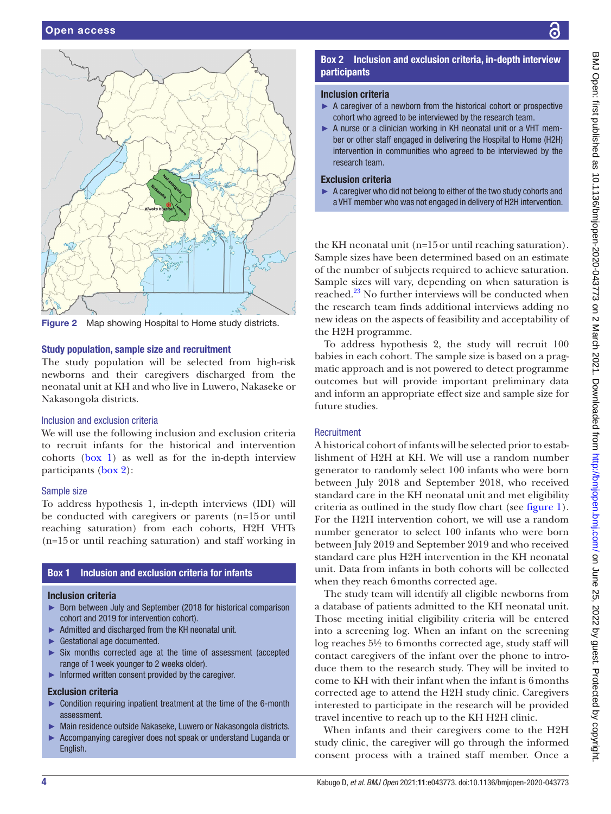

<span id="page-3-0"></span>Figure 2 Map showing Hospital to Home study districts.

#### Study population, sample size and recruitment

The study population will be selected from high-risk newborns and their caregivers discharged from the neonatal unit at KH and who live in Luwero, Nakaseke or Nakasongola districts.

### Inclusion and exclusion criteria

We will use the following inclusion and exclusion criteria to recruit infants for the historical and intervention cohorts ([box](#page-3-1) 1) as well as for the in-depth interview participants ([box](#page-3-2) 2):

#### Sample size

To address hypothesis 1, in-depth interviews (IDI) will be conducted with caregivers or parents (n=15or until reaching saturation) from each cohorts, H2H VHTs (n=15or until reaching saturation) and staff working in

# Box 1 Inclusion and exclusion criteria for infants

#### <span id="page-3-1"></span>Inclusion criteria

- ► Born between July and September (2018 for historical comparison cohort and 2019 for intervention cohort).
- ► Admitted and discharged from the KH neonatal unit.
- ► Gestational age documented.
- ► Six months corrected age at the time of assessment (accepted range of 1week younger to 2 weeks older).
- ► Informed written consent provided by the caregiver.

#### Exclusion criteria

- ► Condition requiring inpatient treatment at the time of the 6-month assessment.
- ► Main residence outside Nakaseke, Luwero or Nakasongola districts.
- ► Accompanying caregiver does not speak or understand Luganda or English.

# Box 2 Inclusion and exclusion criteria, in-depth interview participants

#### <span id="page-3-2"></span>Inclusion criteria

- $\triangleright$  A caregiver of a newborn from the historical cohort or prospective cohort who agreed to be interviewed by the research team.
- ► A nurse or a clinician working in KH neonatal unit or a VHT member or other staff engaged in delivering the Hospital to Home (H2H) intervention in communities who agreed to be interviewed by the research team.

## Exclusion criteria

► A caregiver who did not belong to either of the two study cohorts and a VHT member who was not engaged in delivery of H2H intervention.

the KH neonatal unit (n=15or until reaching saturation). Sample sizes have been determined based on an estimate of the number of subjects required to achieve saturation. Sample sizes will vary, depending on when saturation is reached.[23](#page-7-16) No further interviews will be conducted when the research team finds additional interviews adding no new ideas on the aspects of feasibility and acceptability of the H2H programme.

To address hypothesis 2, the study will recruit 100 babies in each cohort. The sample size is based on a pragmatic approach and is not powered to detect programme outcomes but will provide important preliminary data and inform an appropriate effect size and sample size for future studies.

## **Recruitment**

A historical cohort of infants will be selected prior to establishment of H2H at KH. We will use a random number generator to randomly select 100 infants who were born between July 2018 and September 2018, who received standard care in the KH neonatal unit and met eligibility criteria as outlined in the study flow chart (see [figure](#page-2-0) 1). For the H2H intervention cohort, we will use a random number generator to select 100 infants who were born between July 2019 and September 2019 and who received standard care plus H2H intervention in the KH neonatal unit. Data from infants in both cohorts will be collected when they reach 6months corrected age.

The study team will identify all eligible newborns from a database of patients admitted to the KH neonatal unit. Those meeting initial eligibility criteria will be entered into a screening log. When an infant on the screening log reaches 5½ to 6months corrected age, study staff will contact caregivers of the infant over the phone to introduce them to the research study. They will be invited to come to KH with their infant when the infant is 6months corrected age to attend the H2H study clinic. Caregivers interested to participate in the research will be provided travel incentive to reach up to the KH H2H clinic.

When infants and their caregivers come to the H2H study clinic, the caregiver will go through the informed consent process with a trained staff member. Once a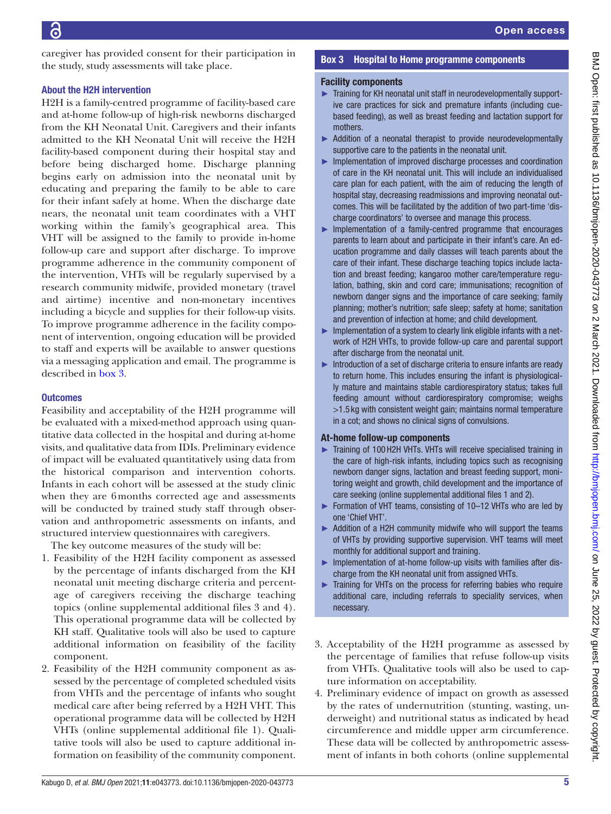caregiver has provided consent for their participation in the study, study assessments will take place.

## About the H2H intervention

H2H is a family-centred programme of facility-based care and at-home follow-up of high-risk newborns discharged from the KH Neonatal Unit. Caregivers and their infants admitted to the KH Neonatal Unit will receive the H2H facility-based component during their hospital stay and before being discharged home. Discharge planning begins early on admission into the neonatal unit by educating and preparing the family to be able to care for their infant safely at home. When the discharge date nears, the neonatal unit team coordinates with a VHT working within the family's geographical area. This VHT will be assigned to the family to provide in-home follow-up care and support after discharge. To improve programme adherence in the community component of the intervention, VHTs will be regularly supervised by a research community midwife, provided monetary (travel and airtime) incentive and non-monetary incentives including a bicycle and supplies for their follow-up visits. To improve programme adherence in the facility component of intervention, ongoing education will be provided to staff and experts will be available to answer questions via a messaging application and email. The programme is described in [box](#page-4-0) 3.

# **Outcomes**

Feasibility and acceptability of the H2H programme will be evaluated with a mixed-method approach using quantitative data collected in the hospital and during at-home visits, and qualitative data from IDIs. Preliminary evidence of impact will be evaluated quantitatively using data from the historical comparison and intervention cohorts. Infants in each cohort will be assessed at the study clinic when they are 6months corrected age and assessments will be conducted by trained study staff through observation and anthropometric assessments on infants, and structured interview questionnaires with caregivers.

The key outcome measures of the study will be:

- 1. Feasibility of the H2H facility component as assessed by the percentage of infants discharged from the KH neonatal unit meeting discharge criteria and percentage of caregivers receiving the discharge teaching topics ([online supplemental additional files 3 and 4](https://dx.doi.org/10.1136/bmjopen-2020-043773)). This operational programme data will be collected by KH staff. Qualitative tools will also be used to capture additional information on feasibility of the facility component.
- 2. Feasibility of the H2H community component as assessed by the percentage of completed scheduled visits from VHTs and the percentage of infants who sought medical care after being referred by a H2H VHT. This operational programme data will be collected by H2H VHTs ([online supplemental additional file 1\)](https://dx.doi.org/10.1136/bmjopen-2020-043773). Qualitative tools will also be used to capture additional information on feasibility of the community component.

# Box 3 Hospital to Home programme components

## <span id="page-4-0"></span>Facility components

- ► Training for KH neonatal unit staff in neurodevelopmentally supportive care practices for sick and premature infants (including cuebased feeding), as well as breast feeding and lactation support for mothers.
- ► Addition of a neonatal therapist to provide neurodevelopmentally supportive care to the patients in the neonatal unit.
- ► Implementation of improved discharge processes and coordination of care in the KH neonatal unit. This will include an individualised care plan for each patient, with the aim of reducing the length of hospital stay, decreasing readmissions and improving neonatal outcomes. This will be facilitated by the addition of two part-time 'discharge coordinators' to oversee and manage this process.
- ► Implementation of a family-centred programme that encourages parents to learn about and participate in their infant's care. An education programme and daily classes will teach parents about the care of their infant. These discharge teaching topics include lactation and breast feeding; kangaroo mother care/temperature regulation, bathing, skin and cord care; immunisations; recognition of newborn danger signs and the importance of care seeking; family planning; mother's nutrition; safe sleep; safety at home; sanitation and prevention of infection at home; and child development.
- ► Implementation of a system to clearly link eligible infants with a network of H2H VHTs, to provide follow-up care and parental support after discharge from the neonatal unit.
- ► Introduction of a set of discharge criteria to ensure infants are ready to return home. This includes ensuring the infant is physiologically mature and maintains stable cardiorespiratory status; takes full feeding amount without cardiorespiratory compromise; weighs >1.5 kg with consistent weight gain; maintains normal temperature in a cot; and shows no clinical signs of convulsions.

# At-home follow-up components

- ► Training of 100H2H VHTs. VHTs will receive specialised training in the care of high-risk infants, including topics such as recognising newborn danger signs, lactation and breast feeding support, monitoring weight and growth, child development and the importance of care seeking ([online supplemental additional files 1 and 2](https://dx.doi.org/10.1136/bmjopen-2020-043773)).
- ► Formation of VHT teams, consisting of 10–12 VHTs who are led by one 'Chief VHT'.
- ► Addition of a H2H community midwife who will support the teams of VHTs by providing supportive supervision. VHT teams will meet monthly for additional support and training.
- ► Implementation of at-home follow-up visits with families after discharge from the KH neonatal unit from assigned VHTs.
- ► Training for VHTs on the process for referring babies who require additional care, including referrals to speciality services, when necessary.
- 3. Acceptability of the H2H programme as assessed by the percentage of families that refuse follow-up visits from VHTs. Qualitative tools will also be used to capture information on acceptability.
- 4. Preliminary evidence of impact on growth as assessed by the rates of undernutrition (stunting, wasting, underweight) and nutritional status as indicated by head circumference and middle upper arm circumference. These data will be collected by anthropometric assessment of infants in both cohorts [\(online supplemental](https://dx.doi.org/10.1136/bmjopen-2020-043773)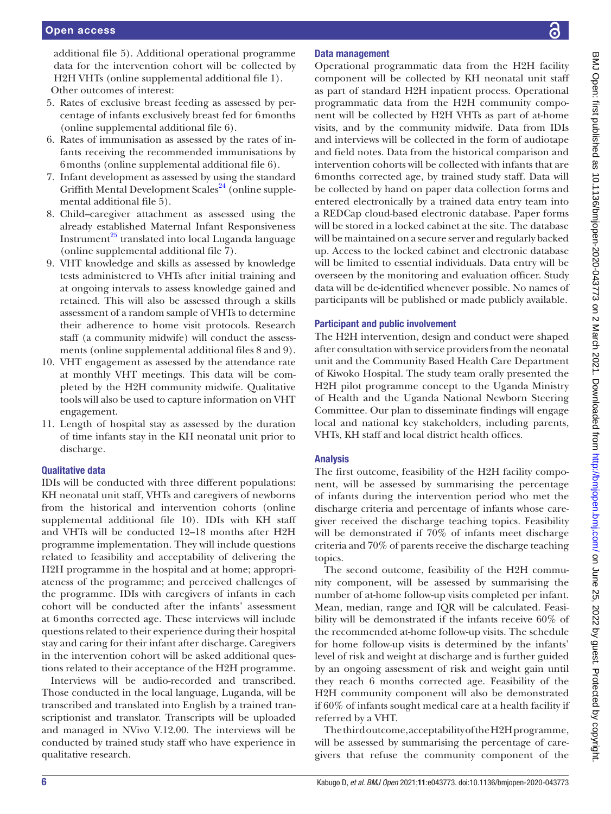[additional file 5\)](https://dx.doi.org/10.1136/bmjopen-2020-043773). Additional operational programme data for the intervention cohort will be collected by H2H VHTs ([online supplemental additional file 1\)](https://dx.doi.org/10.1136/bmjopen-2020-043773). Other outcomes of interest:

- 5. Rates of exclusive breast feeding as assessed by percentage of infants exclusively breast fed for 6months ([online supplemental additional file 6](https://dx.doi.org/10.1136/bmjopen-2020-043773)).
- 6. Rates of immunisation as assessed by the rates of infants receiving the recommended immunisations by 6months ([online supplemental additional file 6](https://dx.doi.org/10.1136/bmjopen-2020-043773)).
- 7. Infant development as assessed by using the standard Griffith Mental Development Scales<sup>24</sup> ([online supple](https://dx.doi.org/10.1136/bmjopen-2020-043773)[mental additional file 5](https://dx.doi.org/10.1136/bmjopen-2020-043773)).
- 8. Child–caregiver attachment as assessed using the already established Maternal Infant Responsiveness Instrument $^{25}$  translated into local Luganda language ([online supplemental additional file 7](https://dx.doi.org/10.1136/bmjopen-2020-043773)).
- 9. VHT knowledge and skills as assessed by knowledge tests administered to VHTs after initial training and at ongoing intervals to assess knowledge gained and retained. This will also be assessed through a skills assessment of a random sample of VHTs to determine their adherence to home visit protocols. Research staff (a community midwife) will conduct the assessments ([online supplemental additional files 8 and 9](https://dx.doi.org/10.1136/bmjopen-2020-043773)).
- 10. VHT engagement as assessed by the attendance rate at monthly VHT meetings. This data will be completed by the H2H community midwife. Qualitative tools will also be used to capture information on VHT engagement.
- 11. Length of hospital stay as assessed by the duration of time infants stay in the KH neonatal unit prior to discharge.

# Qualitative data

IDIs will be conducted with three different populations: KH neonatal unit staff, VHTs and caregivers of newborns from the historical and intervention cohorts [\(online](https://dx.doi.org/10.1136/bmjopen-2020-043773) [supplemental additional file 10](https://dx.doi.org/10.1136/bmjopen-2020-043773)). IDIs with KH staff and VHTs will be conducted 12–18 months after H2H programme implementation. They will include questions related to feasibility and acceptability of delivering the H2H programme in the hospital and at home; appropriateness of the programme; and perceived challenges of the programme. IDIs with caregivers of infants in each cohort will be conducted after the infants' assessment at 6months corrected age. These interviews will include questions related to their experience during their hospital stay and caring for their infant after discharge. Caregivers in the intervention cohort will be asked additional questions related to their acceptance of the H2H programme.

Interviews will be audio-recorded and transcribed. Those conducted in the local language, Luganda, will be transcribed and translated into English by a trained transcriptionist and translator. Transcripts will be uploaded and managed in NVivo V.12.00. The interviews will be conducted by trained study staff who have experience in qualitative research.

# Data management

Operational programmatic data from the H2H facility component will be collected by KH neonatal unit staff as part of standard H2H inpatient process. Operational programmatic data from the H2H community component will be collected by H2H VHTs as part of at-home visits, and by the community midwife. Data from IDIs and interviews will be collected in the form of audiotape and field notes. Data from the historical comparison and intervention cohorts will be collected with infants that are 6months corrected age, by trained study staff. Data will be collected by hand on paper data collection forms and entered electronically by a trained data entry team into a REDCap cloud-based electronic database. Paper forms will be stored in a locked cabinet at the site. The database will be maintained on a secure server and regularly backed up. Access to the locked cabinet and electronic database will be limited to essential individuals. Data entry will be overseen by the monitoring and evaluation officer. Study data will be de-identified whenever possible. No names of participants will be published or made publicly available.

# Participant and public involvement

The H2H intervention, design and conduct were shaped after consultation with service providers from the neonatal unit and the Community Based Health Care Department of Kiwoko Hospital. The study team orally presented the H2H pilot programme concept to the Uganda Ministry of Health and the Uganda National Newborn Steering Committee. Our plan to disseminate findings will engage local and national key stakeholders, including parents, VHTs, KH staff and local district health offices.

# Analysis

The first outcome, feasibility of the H2H facility component, will be assessed by summarising the percentage of infants during the intervention period who met the discharge criteria and percentage of infants whose caregiver received the discharge teaching topics. Feasibility will be demonstrated if 70% of infants meet discharge criteria and 70% of parents receive the discharge teaching topics.

The second outcome, feasibility of the H2H community component, will be assessed by summarising the number of at-home follow-up visits completed per infant. Mean, median, range and IQR will be calculated. Feasibility will be demonstrated if the infants receive 60% of the recommended at-home follow-up visits. The schedule for home follow-up visits is determined by the infants' level of risk and weight at discharge and is further guided by an ongoing assessment of risk and weight gain until they reach 6 months corrected age. Feasibility of the H2H community component will also be demonstrated if 60% of infants sought medical care at a health facility if referred by a VHT.

The third outcome, acceptability of the H2H programme, will be assessed by summarising the percentage of caregivers that refuse the community component of the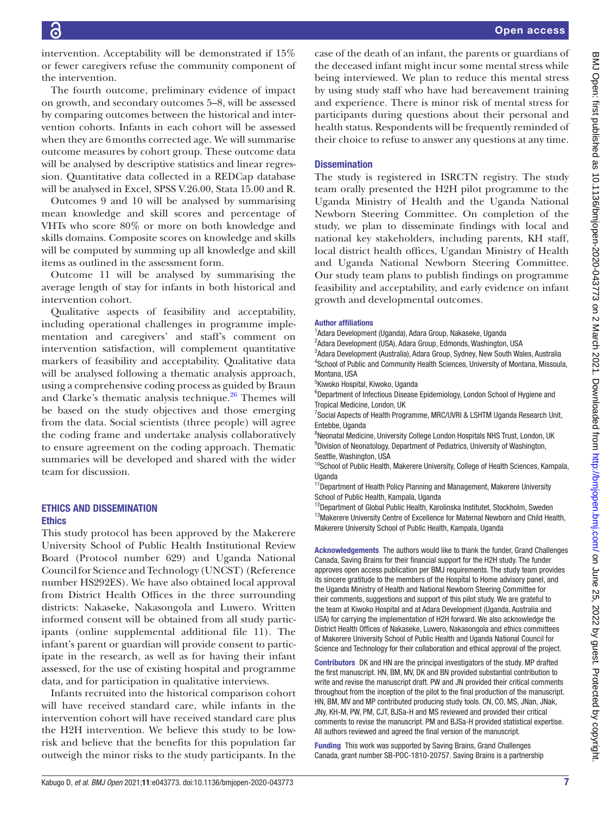intervention. Acceptability will be demonstrated if 15% or fewer caregivers refuse the community component of the intervention.

The fourth outcome, preliminary evidence of impact on growth, and secondary outcomes 5–8, will be assessed by comparing outcomes between the historical and intervention cohorts. Infants in each cohort will be assessed when they are 6months corrected age. We will summarise outcome measures by cohort group. These outcome data will be analysed by descriptive statistics and linear regression. Quantitative data collected in a REDCap database will be analysed in Excel, SPSS V.26.00, Stata 15.00 and R.

Outcomes 9 and 10 will be analysed by summarising mean knowledge and skill scores and percentage of VHTs who score 80% or more on both knowledge and skills domains. Composite scores on knowledge and skills will be computed by summing up all knowledge and skill items as outlined in the assessment form.

Outcome 11 will be analysed by summarising the average length of stay for infants in both historical and intervention cohort.

Qualitative aspects of feasibility and acceptability, including operational challenges in programme implementation and caregivers' and staff's comment on intervention satisfaction, will complement quantitative markers of feasibility and acceptability. Qualitative data will be analysed following a thematic analysis approach, using a comprehensive coding process as guided by Braun and Clarke's thematic analysis technique. $26$  Themes will be based on the study objectives and those emerging from the data. Social scientists (three people) will agree the coding frame and undertake analysis collaboratively to ensure agreement on the coding approach. Thematic summaries will be developed and shared with the wider team for discussion.

#### ETHICS AND DISSEMINATION **Ethics**

This study protocol has been approved by the Makerere University School of Public Health Institutional Review Board (Protocol number 629) and Uganda National Council for Science and Technology (UNCST) (Reference number HS292ES). We have also obtained local approval from District Health Offices in the three surrounding districts: Nakaseke, Nakasongola and Luwero. Written informed consent will be obtained from all study participants [\(online supplemental additional file 11\)](https://dx.doi.org/10.1136/bmjopen-2020-043773). The infant's parent or guardian will provide consent to participate in the research, as well as for having their infant assessed, for the use of existing hospital and programme data, and for participation in qualitative interviews.

Infants recruited into the historical comparison cohort will have received standard care, while infants in the intervention cohort will have received standard care plus the H2H intervention. We believe this study to be lowrisk and believe that the benefits for this population far outweigh the minor risks to the study participants. In the

case of the death of an infant, the parents or guardians of the deceased infant might incur some mental stress while being interviewed. We plan to reduce this mental stress by using study staff who have had bereavement training and experience. There is minor risk of mental stress for participants during questions about their personal and health status. Respondents will be frequently reminded of their choice to refuse to answer any questions at any time.

# **Dissemination**

The study is registered in ISRCTN registry. The study team orally presented the H2H pilot programme to the Uganda Ministry of Health and the Uganda National Newborn Steering Committee. On completion of the study, we plan to disseminate findings with local and national key stakeholders, including parents, KH staff, local district health offices, Ugandan Ministry of Health and Uganda National Newborn Steering Committee. Our study team plans to publish findings on programme feasibility and acceptability, and early evidence on infant growth and developmental outcomes.

#### Author affiliations

1 Adara Development (Uganda), Adara Group, Nakaseke, Uganda

<sup>2</sup>Adara Development (USA), Adara Group, Edmonds, Washington, USA 3 Adara Development (Australia), Adara Group, Sydney, New South Wales, Australia 4 School of Public and Community Health Sciences, University of Montana, Missoula, Montana, USA

5 Kiwoko Hospital, Kiwoko, Uganda

<sup>6</sup>Department of Infectious Disease Epidemiology, London School of Hygiene and Tropical Medicine, London, UK

<sup>7</sup> Social Aspects of Health Programme, MRC/UVRI & LSHTM Uganda Research Unit, Entebbe, Uganda

<sup>8</sup>Neonatal Medicine, University College London Hospitals NHS Trust, London, UK <sup>9</sup> Division of Neonatology, Department of Pediatrics, University of Washington, Seattle, Washington, USA

<sup>10</sup>School of Public Health, Makerere University, College of Health Sciences, Kampala, **Uganda** 

<sup>11</sup>Department of Health Policy Planning and Management, Makerere University School of Public Health, Kampala, Uganda

<sup>12</sup>Department of Global Public Health, Karolinska Institutet, Stockholm, Sweden <sup>13</sup>Makerere University Centre of Excellence for Maternal Newborn and Child Health, Makerere University School of Public Health, Kampala, Uganda

Acknowledgements The authors would like to thank the funder, Grand Challenges Canada, Saving Brains for their financial support for the H2H study. The funder approves open access publication per BMJ requirements. The study team provides its sincere gratitude to the members of the Hospital to Home advisory panel, and the Uganda Ministry of Health and National Newborn Steering Committee for their comments, suggestions and support of this pilot study. We are grateful to the team at Kiwoko Hospital and at Adara Development (Uganda, Australia and USA) for carrying the implementation of H2H forward. We also acknowledge the District Health Offices of Nakaseke, Luwero, Nakasongola and ethics committees of Makerere University School of Public Health and Uganda National Council for Science and Technology for their collaboration and ethical approval of the project.

Contributors DK and HN are the principal investigators of the study. MP drafted the first manuscript. HN, BM, MV, DK and BN provided substantial contribution to write and revise the manuscript draft. PW and JN provided their critical comments throughout from the inception of the pilot to the final production of the manuscript. HN, BM, MV and MP contributed producing study tools. CN, CO, MS, JNan, JNak, JNy, KH-M, PW, PM, CJT, BJSa-H and MS reviewed and provided their critical comments to revise the manuscript. PM and BJSa-H provided statistical expertise. All authors reviewed and agreed the final version of the manuscript.

Funding This work was supported by Saving Brains, Grand Challenges Canada, grant number SB-POC-1810-20757. Saving Brains is a partnership